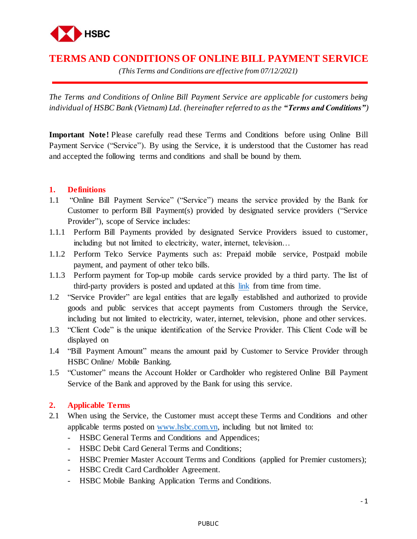

# **TERMS AND CONDITIONS OF ONLINE BILL PAYMENT SERVICE**

*(This Terms and Conditions are effective from 07/12/2021)*

*The Terms and Conditions of Online Bill Payment Service are applicable for customers being individual of HSBC Bank (Vietnam) Ltd. (hereinafter referred to as the "Terms and Conditions")*

**Important Note!** Please carefully read these Terms and Conditions before using Online Bill Payment Service ("Service"). By using the Service, it is understood that the Customer has read and accepted the following terms and conditions and shall be bound by them.

## **1. Definitions**

- 1.1 "Online Bill Payment Service" ("Service") means the service provided by the Bank for Customer to perform Bill Payment(s) provided by designated service providers ("Service Provider"), scope of Service includes:
- 1.1.1 Perform Bill Payments provided by designated Service Providers issued to customer, including but not limited to electricity, water, internet, television…
- 1.1.2 Perform Telco Service Payments such as: Prepaid mobile service, Postpaid mobile payment, and payment of other telco bills.
- 1.1.3 Perform payment for Top-up mobile cards service provided by a third party. The list of third-party providers is posted and updated at this [link](https://www.hsbc.com.vn/en-vn/ways-to-bank/bill-payment/faq/) from time from time.
- 1.2 "Service Provider" are legal entities that are legally established and authorized to provide goods and public services that accept payments from Customers through the Service, including but not limited to electricity, water, internet, television, phone and other services.
- 1.3 "Client Code" is the unique identification of the Service Provider. This Client Code will be displayed on
- 1.4 "Bill Payment Amount" means the amount paid by Customer to Service Provider through HSBC Online/ Mobile Banking.
- 1.5 "Customer" means the Account Holder or Cardholder who registered Online Bill Payment Service of the Bank and approved by the Bank for using this service.

# **2. Applicable Terms**

- 2.1 When using the Service, the Customer must accept these Terms and Conditions and other applicable terms posted on [www.hsbc.com.vn,](http://www.hsbc.com.vn/) including but not limited to:
	- HSBC General Terms and Conditions and Appendices;
	- HSBC Debit Card General Terms and Conditions;
	- HSBC Premier Master Account Terms and Conditions (applied for Premier customers);
	- HSBC Credit Card Cardholder Agreement.
	- HSBC Mobile Banking Application Terms and Conditions.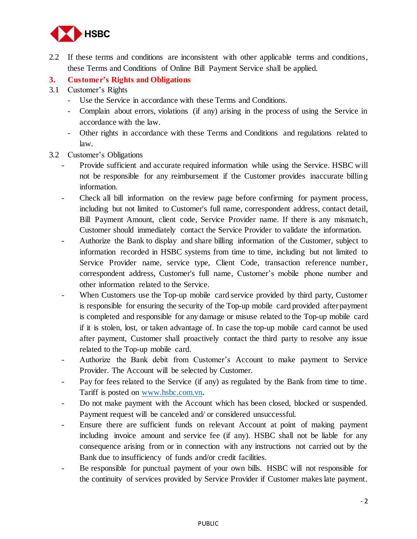

- 2.2 If these terms and conditions are inconsistent with other applicable terms and conditions, these Terms and Conditions of Online Bill Payment Service shall be applied.
- **3. Customer's Rights and Obligations**
- 3.1 Customer's Rights
	- Use the Service in accordance with these Terms and Conditions.
	- Complain about errors, violations (if any) arising in the process of using the Service in accordance with the law.
	- Other rights in accordance with these Terms and Conditions and regulations related to law.
- 3.2 Customer's Obligations
	- Provide sufficient and accurate required information while using the Service. HSBC will not be responsible for any reimbursement if the Customer provides inaccurate billing information.
	- Check all bill information on the review page before confirming for payment process, including but not limited to Customer's full name, correspondent address, contact detail, Bill Payment Amount, client code, Service Provider name. If there is any mismatch, Customer should immediately contact the Service Provider to validate the information.
	- Authorize the Bank to display and share billing information of the Customer, subject to information recorded in HSBC systems from time to time, including but not limited to Service Provider name, service type, Client Code, transaction reference number, correspondent address, Customer's full name, Customer's mobile phone number and other information related to the Service.
	- When Customers use the Top-up mobile card service provided by third party, Customer is responsible for ensuring the security of the Top-up mobile card provided after payment is completed and responsible for any damage or misuse related to the Top-up mobile card if it is stolen, lost, or taken advantage of. In case the top-up mobile card cannot be used after payment, Customer shall proactively contact the third party to resolve any issue related to the Top-up mobile card.
	- Authorize the Bank debit from Customer's Account to make payment to Service Provider. The Account will be selected by Customer.
	- Pay for fees related to the Service (if any) as regulated by the Bank from time to time. Tariff is posted on [www.hsbc.com.vn.](http://www.hsbc.com.vn/)
	- Do not make payment with the Account which has been closed, blocked or suspended. Payment request will be canceled and/ or considered unsuccessful.
	- Ensure there are sufficient funds on relevant Account at point of making payment including invoice amount and service fee (if any). HSBC shall not be liable for any consequence arising from or in connection with any instructions not carried out by the Bank due to insufficiency of funds and/or credit facilities.
	- Be responsible for punctual payment of your own bills. HSBC will not responsible for the continuity of services provided by Service Provider if Customer makes late payment.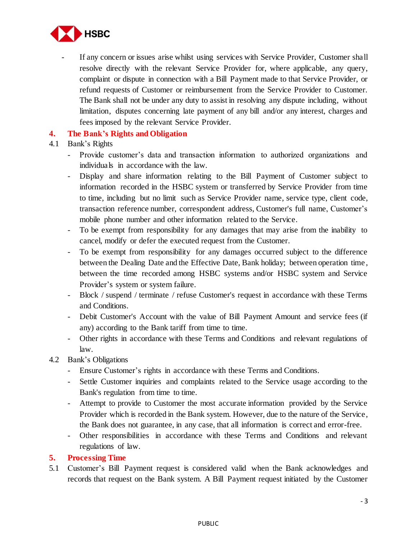

If any concern or issues arise whilst using services with Service Provider, Customer shall resolve directly with the relevant Service Provider for, where applicable, any query, complaint or dispute in connection with a Bill Payment made to that Service Provider, or refund requests of Customer or reimbursement from the Service Provider to Customer. The Bank shall not be under any duty to assist in resolving any dispute including, without limitation, disputes concerning late payment of any bill and/or any interest, charges and fees imposed by the relevant Service Provider.

# **4. The Bank's Rights and Obligation**

#### 4.1 Bank's Rights

- Provide customer's data and transaction information to authorized organizations and individuals in accordance with the law.
- Display and share information relating to the Bill Payment of Customer subject to information recorded in the HSBC system or transferred by Service Provider from time to time, including but no limit such as Service Provider name, service type, client code, transaction reference number, correspondent address, Customer's full name, Customer's mobile phone number and other information related to the Service.
- To be exempt from responsibility for any damages that may arise from the inability to cancel, modify or defer the executed request from the Customer.
- To be exempt from responsibility for any damages occurred subject to the difference between the Dealing Date and the Effective Date, Bank holiday; between operation time , between the time recorded among HSBC systems and/or HSBC system and Service Provider's system or system failure.
- Block / suspend / terminate / refuse Customer's request in accordance with these Terms and Conditions.
- Debit Customer's Account with the value of Bill Payment Amount and service fees (if any) according to the Bank tariff from time to time.
- Other rights in accordance with these Terms and Conditions and relevant regulations of law.
- 4.2 Bank's Obligations
	- Ensure Customer's rights in accordance with these Terms and Conditions.
	- Settle Customer inquiries and complaints related to the Service usage according to the Bank's regulation from time to time.
	- Attempt to provide to Customer the most accurate information provided by the Service Provider which is recorded in the Bank system. However, due to the nature of the Service, the Bank does not guarantee, in any case, that all information is correct and error-free.
	- Other responsibilities in accordance with these Terms and Conditions and relevant regulations of law.

# **5. Processing Time**

5.1 Customer's Bill Payment request is considered valid when the Bank acknowledges and records that request on the Bank system. A Bill Payment request initiated by the Customer